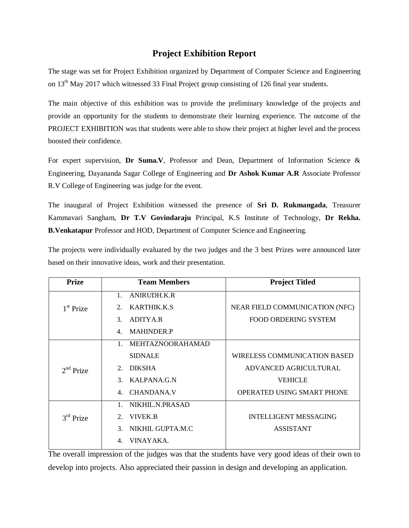## **Project Exhibition Report**

The stage was set for Project Exhibition organized by Department of Computer Science and Engineering on 13<sup>th</sup> May 2017 which witnessed 33 Final Project group consisting of 126 final year students.

The main objective of this exhibition was to provide the preliminary knowledge of the projects and provide an opportunity for the students to demonstrate their learning experience. The outcome of the PROJECT EXHIBITION was that students were able to show their project at higher level and the process boosted their confidence.

For expert supervision, **Dr Suma.V**, Professor and Dean, Department of Information Science & Engineering, Dayananda Sagar College of Engineering and **Dr Ashok Kumar A.R** Associate Professor R.V College of Engineering was judge for the event.

The inaugural of Project Exhibition witnessed the presence of **Sri D. Rukmangada**, Treasurer Kammavari Sangham, **Dr T.V Govindaraju** Principal, K.S Institute of Technology, **Dr Rekha. B.Venkatapur** Professor and HOD, Department of Computer Science and Engineering.

The projects were individually evaluated by the two judges and the 3 best Prizes were announced later based on their innovative ideas, work and their presentation.

| <b>Prize</b> | <b>Team Members</b>           | <b>Project Titled</b>             |
|--------------|-------------------------------|-----------------------------------|
| $1st$ Prize  | <b>ANIRUDH.K.R</b><br>$1_{-}$ |                                   |
|              | KARTHIK.K.S<br>$2^{\circ}$    | NEAR FIELD COMMUNICATION (NFC)    |
|              | ADITYA.R<br>$3_{-}$           | <b>FOOD ORDERING SYSTEM</b>       |
|              | <b>MAHINDER.P</b><br>4.       |                                   |
| $2nd$ Prize  | 1. MEHTAZNOORAHAMAD           |                                   |
|              | <b>SIDNALE</b>                | WIRELESS COMMUNICATION BASED      |
|              | <b>DIKSHA</b>                 | ADVANCED AGRICULTURAL             |
|              | 3. KALPANA.G.N                | <b>VEHICLE</b>                    |
|              | <b>CHANDANA.V</b><br>4.       | <b>OPERATED USING SMART PHONE</b> |
| $3rd$ Prize  | NIKHIL.N.PRASAD               |                                   |
|              | <b>VIVEK.B</b>                | <b>INTELLIGENT MESSAGING</b>      |
|              | NIKHIL GUPTA.M.C<br>3.        | <b>ASSISTANT</b>                  |
|              | VINAYAKA.                     |                                   |

The overall impression of the judges was that the students have very good ideas of their own to develop into projects. Also appreciated their passion in design and developing an application.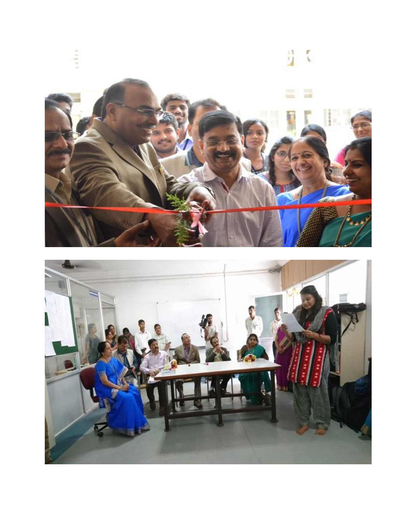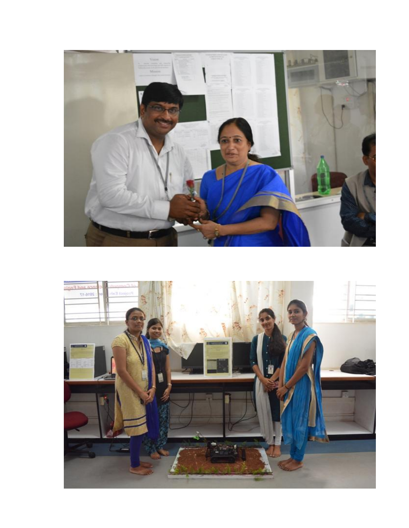

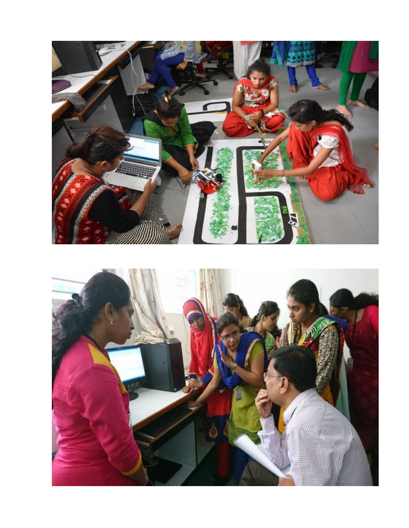